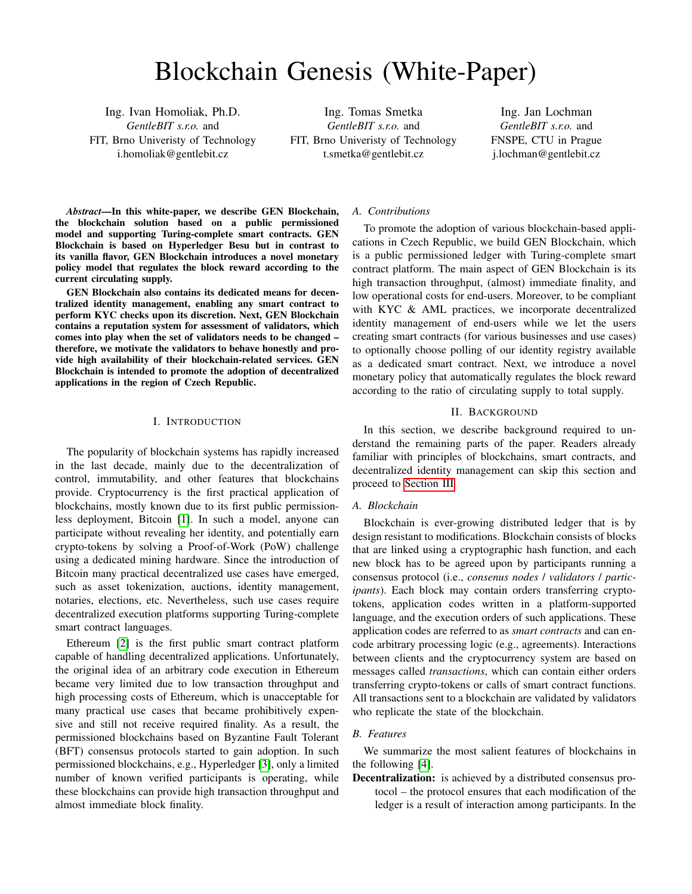# Blockchain Genesis (White-Paper)

Ing. Ivan Homoliak, Ph.D. *GentleBIT s.r.o.* and FIT, Brno Univeristy of Technology i.homoliak@gentlebit.cz

Ing. Tomas Smetka *GentleBIT s.r.o.* and FIT, Brno Univeristy of Technology t.smetka@gentlebit.cz

Ing. Jan Lochman *GentleBIT s.r.o.* and FNSPE, CTU in Prague j.lochman@gentlebit.cz

*Abstract*—In this white-paper, we describe GEN Blockchain, the blockchain solution based on a public permissioned model and supporting Turing-complete smart contracts. GEN Blockchain is based on Hyperledger Besu but in contrast to its vanilla flavor, GEN Blockchain introduces a novel monetary policy model that regulates the block reward according to the current circulating supply.

GEN Blockchain also contains its dedicated means for decentralized identity management, enabling any smart contract to perform KYC checks upon its discretion. Next, GEN Blockchain contains a reputation system for assessment of validators, which comes into play when the set of validators needs to be changed – therefore, we motivate the validators to behave honestly and provide high availability of their blockchain-related services. GEN Blockchain is intended to promote the adoption of decentralized applications in the region of Czech Republic.

## I. INTRODUCTION

The popularity of blockchain systems has rapidly increased in the last decade, mainly due to the decentralization of control, immutability, and other features that blockchains provide. Cryptocurrency is the first practical application of blockchains, mostly known due to its first public permissionless deployment, Bitcoin [\[1\]](#page-8-0). In such a model, anyone can participate without revealing her identity, and potentially earn crypto-tokens by solving a Proof-of-Work (PoW) challenge using a dedicated mining hardware. Since the introduction of Bitcoin many practical decentralized use cases have emerged, such as asset tokenization, auctions, identity management, notaries, elections, etc. Nevertheless, such use cases require decentralized execution platforms supporting Turing-complete smart contract languages.

Ethereum [\[2\]](#page-8-1) is the first public smart contract platform capable of handling decentralized applications. Unfortunately, the original idea of an arbitrary code execution in Ethereum became very limited due to low transaction throughput and high processing costs of Ethereum, which is unacceptable for many practical use cases that became prohibitively expensive and still not receive required finality. As a result, the permissioned blockchains based on Byzantine Fault Tolerant (BFT) consensus protocols started to gain adoption. In such permissioned blockchains, e.g., Hyperledger [\[3\]](#page-8-2), only a limited number of known verified participants is operating, while these blockchains can provide high transaction throughput and almost immediate block finality.

# *A. Contributions*

To promote the adoption of various blockchain-based applications in Czech Republic, we build GEN Blockchain, which is a public permissioned ledger with Turing-complete smart contract platform. The main aspect of GEN Blockchain is its high transaction throughput, (almost) immediate finality, and low operational costs for end-users. Moreover, to be compliant with KYC & AML practices, we incorporate decentralized identity management of end-users while we let the users creating smart contracts (for various businesses and use cases) to optionally choose polling of our identity registry available as a dedicated smart contract. Next, we introduce a novel monetary policy that automatically regulates the block reward according to the ratio of circulating supply to total supply.

## II. BACKGROUND

In this section, we describe background required to understand the remaining parts of the paper. Readers already familiar with principles of blockchains, smart contracts, and decentralized identity management can skip this section and proceed to [Section III](#page-3-0)

## *A. Blockchain*

Blockchain is ever-growing distributed ledger that is by design resistant to modifications. Blockchain consists of blocks that are linked using a cryptographic hash function, and each new block has to be agreed upon by participants running a consensus protocol (i.e., *consenus nodes* / *validators* / *participants*). Each block may contain orders transferring cryptotokens, application codes written in a platform-supported language, and the execution orders of such applications. These application codes are referred to as *smart contracts* and can encode arbitrary processing logic (e.g., agreements). Interactions between clients and the cryptocurrency system are based on messages called *transactions*, which can contain either orders transferring crypto-tokens or calls of smart contract functions. All transactions sent to a blockchain are validated by validators who replicate the state of the blockchain.

## *B. Features*

We summarize the most salient features of blockchains in the following [\[4\]](#page-8-3).

Decentralization: is achieved by a distributed consensus protocol – the protocol ensures that each modification of the ledger is a result of interaction among participants. In the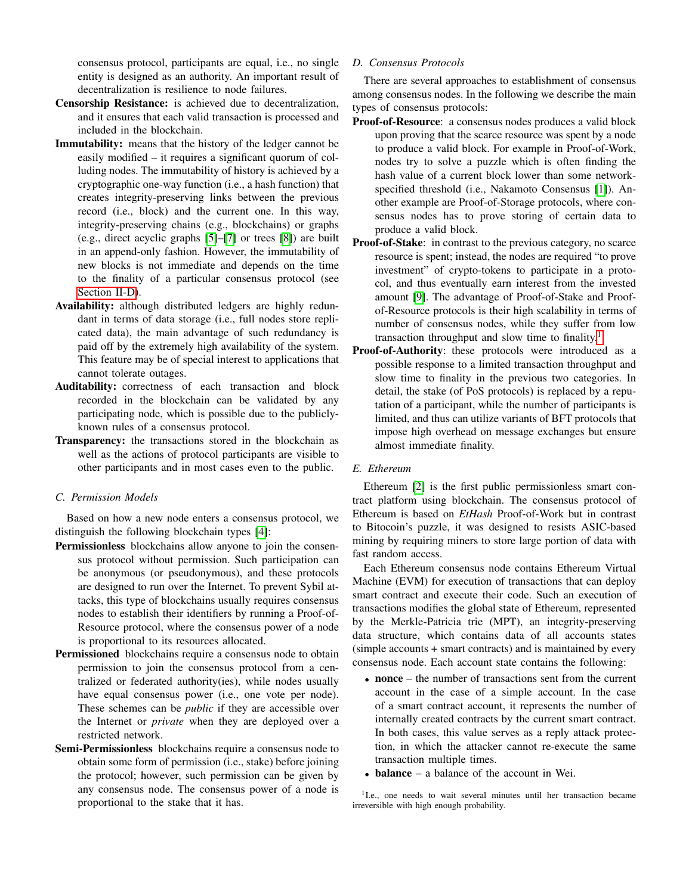consensus protocol, participants are equal, i.e., no single entity is designed as an authority. An important result of decentralization is resilience to node failures.

- Censorship Resistance: is achieved due to decentralization, and it ensures that each valid transaction is processed and included in the blockchain.
- Immutability: means that the history of the ledger cannot be easily modified – it requires a significant quorum of colluding nodes. The immutability of history is achieved by a cryptographic one-way function (i.e., a hash function) that creates integrity-preserving links between the previous record (i.e., block) and the current one. In this way, integrity-preserving chains (e.g., blockchains) or graphs (e.g., direct acyclic graphs [\[5\]](#page-8-4)–[\[7\]](#page-8-5) or trees [\[8\]](#page-8-6)) are built in an append-only fashion. However, the immutability of new blocks is not immediate and depends on the time to the finality of a particular consensus protocol (see [Section II-D\)](#page-1-0).
- Availability: although distributed ledgers are highly redundant in terms of data storage (i.e., full nodes store replicated data), the main advantage of such redundancy is paid off by the extremely high availability of the system. This feature may be of special interest to applications that cannot tolerate outages.
- Auditability: correctness of each transaction and block recorded in the blockchain can be validated by any participating node, which is possible due to the publiclyknown rules of a consensus protocol.
- Transparency: the transactions stored in the blockchain as well as the actions of protocol participants are visible to other participants and in most cases even to the public.

# *C. Permission Models*

Based on how a new node enters a consensus protocol, we distinguish the following blockchain types [\[4\]](#page-8-3):

- Permissionless blockchains allow anyone to join the consensus protocol without permission. Such participation can be anonymous (or pseudonymous), and these protocols are designed to run over the Internet. To prevent Sybil attacks, this type of blockchains usually requires consensus nodes to establish their identifiers by running a Proof-of-Resource protocol, where the consensus power of a node is proportional to its resources allocated.
- Permissioned blockchains require a consensus node to obtain permission to join the consensus protocol from a centralized or federated authority(ies), while nodes usually have equal consensus power (i.e., one vote per node). These schemes can be *public* if they are accessible over the Internet or *private* when they are deployed over a restricted network.
- Semi-Permissionless blockchains require a consensus node to obtain some form of permission (i.e., stake) before joining the protocol; however, such permission can be given by any consensus node. The consensus power of a node is proportional to the stake that it has.

# <span id="page-1-0"></span>*D. Consensus Protocols*

There are several approaches to establishment of consensus among consensus nodes. In the following we describe the main types of consensus protocols:

- Proof-of-Resource: a consensus nodes produces a valid block upon proving that the scarce resource was spent by a node to produce a valid block. For example in Proof-of-Work, nodes try to solve a puzzle which is often finding the hash value of a current block lower than some networkspecified threshold (i.e., Nakamoto Consensus [\[1\]](#page-8-0)). Another example are Proof-of-Storage protocols, where consensus nodes has to prove storing of certain data to produce a valid block.
- Proof-of-Stake: in contrast to the previous category, no scarce resource is spent; instead, the nodes are required "to prove investment" of crypto-tokens to participate in a protocol, and thus eventually earn interest from the invested amount [\[9\]](#page-8-7). The advantage of Proof-of-Stake and Proofof-Resource protocols is their high scalability in terms of number of consensus nodes, while they suffer from low transaction throughput and slow time to finality.<sup>[1](#page-1-1)</sup>
- Proof-of-Authority: these protocols were introduced as a possible response to a limited transaction throughput and slow time to finality in the previous two categories. In detail, the stake (of PoS protocols) is replaced by a reputation of a participant, while the number of participants is limited, and thus can utilize variants of BFT protocols that impose high overhead on message exchanges but ensure almost immediate finality.

## *E. Ethereum*

Ethereum [\[2\]](#page-8-1) is the first public permissionless smart contract platform using blockchain. The consensus protocol of Ethereum is based on *EtHash* Proof-of-Work but in contrast to Bitocoin's puzzle, it was designed to resists ASIC-based mining by requiring miners to store large portion of data with fast random access.

Each Ethereum consensus node contains Ethereum Virtual Machine (EVM) for execution of transactions that can deploy smart contract and execute their code. Such an execution of transactions modifies the global state of Ethereum, represented by the Merkle-Patricia trie (MPT), an integrity-preserving data structure, which contains data of all accounts states (simple accounts + smart contracts) and is maintained by every consensus node. Each account state contains the following:

- **nonce** the number of transactions sent from the current account in the case of a simple account. In the case of a smart contract account, it represents the number of internally created contracts by the current smart contract. In both cases, this value serves as a reply attack protection, in which the attacker cannot re-execute the same transaction multiple times.
- **balance** a balance of the account in Wei.

<span id="page-1-1"></span><sup>1</sup>I.e., one needs to wait several minutes until her transaction became irreversible with high enough probability.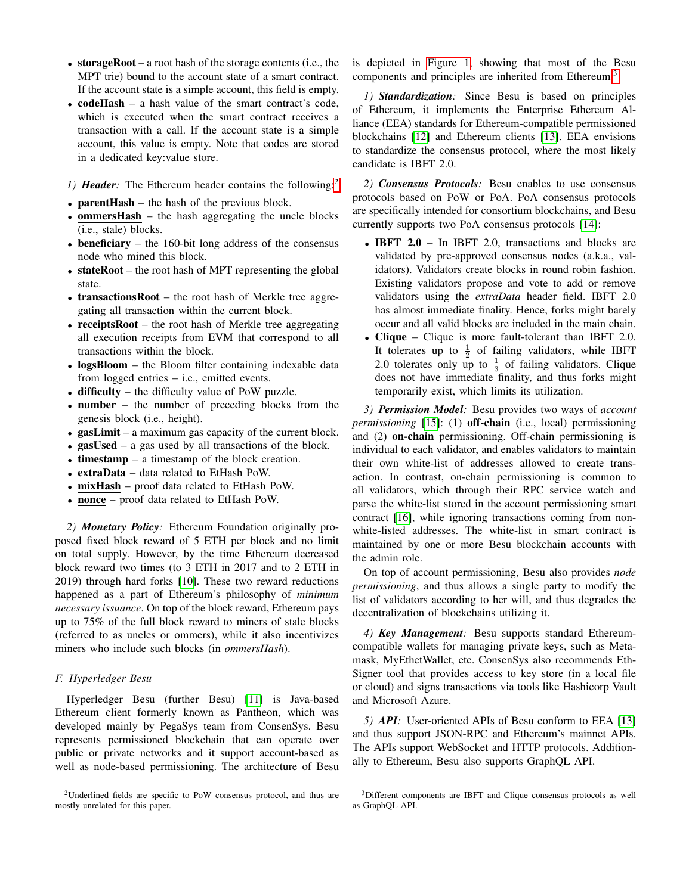- storageRoot a root hash of the storage contents (i.e., the MPT trie) bound to the account state of a smart contract. If the account state is a simple account, this field is empty.
- **codeHash** a hash value of the smart contract's code, which is executed when the smart contract receives a transaction with a call. If the account state is a simple account, this value is empty. Note that codes are stored in a dedicated key:value store.
- <span id="page-2-2"></span>*1) Header*: The Ethereum header contains the following:<sup>[2](#page-2-0)</sup>
- **parentHash** the hash of the previous block.
- **ommersHash** the hash aggregating the uncle blocks (i.e., stale) blocks.
- beneficiary  $-$  the 160-bit long address of the consensus node who mined this block.
- stateRoot the root hash of MPT representing the global state.
- transactionsRoot the root hash of Merkle tree aggregating all transaction within the current block.
- receiptsRoot the root hash of Merkle tree aggregating all execution receipts from EVM that correspond to all transactions within the block.
- logsBloom the Bloom filter containing indexable data from logged entries – i.e., emitted events.
- difficulty the difficulty value of PoW puzzle.
- number the number of preceding blocks from the genesis block (i.e., height).
- gasLimit a maximum gas capacity of the current block.
- gasUsed a gas used by all transactions of the block.
- timestamp a timestamp of the block creation.
- extraData data related to EtHash PoW.
- mixHash proof data related to EtHash PoW.
- **nonce** proof data related to EtHash PoW.

*2) Monetary Policy:* Ethereum Foundation originally proposed fixed block reward of 5 ETH per block and no limit on total supply. However, by the time Ethereum decreased block reward two times (to 3 ETH in 2017 and to 2 ETH in 2019) through hard forks [\[10\]](#page-8-8). These two reward reductions happened as a part of Ethereum's philosophy of *minimum necessary issuance*. On top of the block reward, Ethereum pays up to 75% of the full block reward to miners of stale blocks (referred to as uncles or ommers), while it also incentivizes miners who include such blocks (in *ommersHash*).

## *F. Hyperledger Besu*

Hyperledger Besu (further Besu) [\[11\]](#page-8-9) is Java-based Ethereum client formerly known as Pantheon, which was developed mainly by PegaSys team from ConsenSys. Besu represents permissioned blockchain that can operate over public or private networks and it support account-based as well as node-based permissioning. The architecture of Besu

<span id="page-2-0"></span><sup>2</sup>Underlined fields are specific to PoW consensus protocol, and thus are mostly unrelated for this paper.

is depicted in [Figure 1,](#page-3-1) showing that most of the Besu components and principles are inherited from Ethereum.<sup>[3](#page-2-1)</sup>

<span id="page-2-3"></span>*1) Standardization:* Since Besu is based on principles of Ethereum, it implements the Enterprise Ethereum Alliance (EEA) standards for Ethereum-compatible permissioned blockchains [\[12\]](#page-8-10) and Ethereum clients [\[13\]](#page-8-11). EEA envisions to standardize the consensus protocol, where the most likely candidate is IBFT 2.0.

*2) Consensus Protocols:* Besu enables to use consensus protocols based on PoW or PoA. PoA consensus protocols are specifically intended for consortium blockchains, and Besu currently supports two PoA consensus protocols [\[14\]](#page-8-12):

- IBFT 2.0 In IBFT 2.0, transactions and blocks are validated by pre-approved consensus nodes (a.k.a., validators). Validators create blocks in round robin fashion. Existing validators propose and vote to add or remove validators using the *extraData* header field. IBFT 2.0 has almost immediate finality. Hence, forks might barely occur and all valid blocks are included in the main chain.
- Clique Clique is more fault-tolerant than IBFT 2.0. It tolerates up to  $\frac{1}{2}$  of failing validators, while IBFT 2.0 tolerates only up to  $\frac{1}{3}$  of failing validators. Clique does not have immediate finality, and thus forks might temporarily exist, which limits its utilization.

*3) Permission Model:* Besu provides two ways of *account permissioning* [\[15\]](#page-8-13): (1) **off-chain** (i.e., local) permissioning and (2) on-chain permissioning. Off-chain permissioning is individual to each validator, and enables validators to maintain their own white-list of addresses allowed to create transaction. In contrast, on-chain permissioning is common to all validators, which through their RPC service watch and parse the white-list stored in the account permissioning smart contract [\[16\]](#page-8-14), while ignoring transactions coming from nonwhite-listed addresses. The white-list in smart contract is maintained by one or more Besu blockchain accounts with the admin role.

On top of account permissioning, Besu also provides *node permissioning*, and thus allows a single party to modify the list of validators according to her will, and thus degrades the decentralization of blockchains utilizing it.

*4) Key Management:* Besu supports standard Ethereumcompatible wallets for managing private keys, such as Metamask, MyEthetWallet, etc. ConsenSys also recommends Eth-Signer tool that provides access to key store (in a local file or cloud) and signs transactions via tools like Hashicorp Vault and Microsoft Azure.

*5) API:* User-oriented APIs of Besu conform to EEA [\[13\]](#page-8-11) and thus support JSON-RPC and Ethereum's mainnet APIs. The APIs support WebSocket and HTTP protocols. Additionally to Ethereum, Besu also supports GraphQL API.

<span id="page-2-1"></span><sup>3</sup>Different components are IBFT and Clique consensus protocols as well as GraphQL API.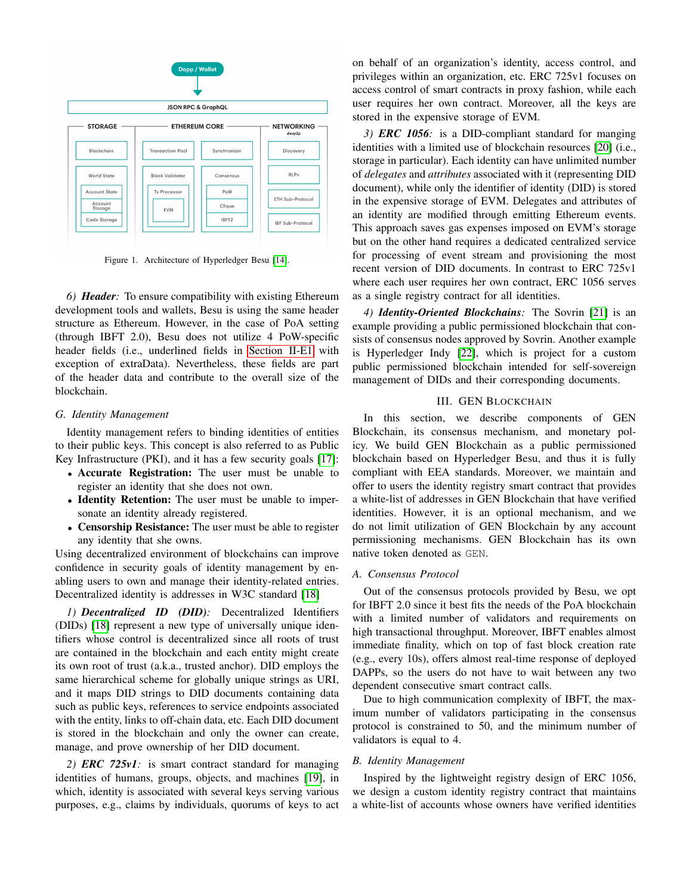

<span id="page-3-1"></span>Figure 1. Architecture of Hyperledger Besu [\[14\]](#page-8-12).

*6) Header:* To ensure compatibility with existing Ethereum development tools and wallets, Besu is using the same header structure as Ethereum. However, in the case of PoA setting (through IBFT 2.0), Besu does not utilize 4 PoW-specific header fields (i.e., underlined fields in [Section II-E1](#page-2-2) with exception of extraData). Nevertheless, these fields are part of the header data and contribute to the overall size of the blockchain.

## *G. Identity Management*

Identity management refers to binding identities of entities to their public keys. This concept is also referred to as Public Key Infrastructure (PKI), and it has a few security goals [\[17\]](#page-8-15):

- Accurate Registration: The user must be unable to register an identity that she does not own.
- Identity Retention: The user must be unable to impersonate an identity already registered.
- Censorship Resistance: The user must be able to register any identity that she owns.

Using decentralized environment of blockchains can improve confidence in security goals of identity management by enabling users to own and manage their identity-related entries. Decentralized identity is addresses in W3C standard [\[18\]](#page-8-16)

*1) Decentralized ID (DID):* Decentralized Identifiers (DIDs) [\[18\]](#page-8-16) represent a new type of universally unique identifiers whose control is decentralized since all roots of trust are contained in the blockchain and each entity might create its own root of trust (a.k.a., trusted anchor). DID employs the same hierarchical scheme for globally unique strings as URI, and it maps DID strings to DID documents containing data such as public keys, references to service endpoints associated with the entity, links to off-chain data, etc. Each DID document is stored in the blockchain and only the owner can create, manage, and prove ownership of her DID document.

*2) ERC 725v1:* is smart contract standard for managing identities of humans, groups, objects, and machines [\[19\]](#page-8-17), in which, identity is associated with several keys serving various purposes, e.g., claims by individuals, quorums of keys to act on behalf of an organization's identity, access control, and privileges within an organization, etc. ERC 725v1 focuses on access control of smart contracts in proxy fashion, while each user requires her own contract. Moreover, all the keys are stored in the expensive storage of EVM.

*3) ERC 1056:* is a DID-compliant standard for manging identities with a limited use of blockchain resources [\[20\]](#page-8-18) (i.e., storage in particular). Each identity can have unlimited number of *delegates* and *attributes* associated with it (representing DID document), while only the identifier of identity (DID) is stored in the expensive storage of EVM. Delegates and attributes of an identity are modified through emitting Ethereum events. This approach saves gas expenses imposed on EVM's storage but on the other hand requires a dedicated centralized service for processing of event stream and provisioning the most recent version of DID documents. In contrast to ERC 725v1 where each user requires her own contract, ERC 1056 serves as a single registry contract for all identities.

*4) Identity-Oriented Blockchains:* The Sovrin [\[21\]](#page-8-19) is an example providing a public permissioned blockchain that consists of consensus nodes approved by Sovrin. Another example is Hyperledger Indy [\[22\]](#page-8-20), which is project for a custom public permissioned blockchain intended for self-sovereign management of DIDs and their corresponding documents.

## III. GEN BLOCKCHAIN

<span id="page-3-0"></span>In this section, we describe components of GEN Blockchain, its consensus mechanism, and monetary policy. We build GEN Blockchain as a public permissioned blockchain based on Hyperledger Besu, and thus it is fully compliant with EEA standards. Moreover, we maintain and offer to users the identity registry smart contract that provides a white-list of addresses in GEN Blockchain that have verified identities. However, it is an optional mechanism, and we do not limit utilization of GEN Blockchain by any account permissioning mechanisms. GEN Blockchain has its own native token denoted as GEN.

## *A. Consensus Protocol*

Out of the consensus protocols provided by Besu, we opt for IBFT 2.0 since it best fits the needs of the PoA blockchain with a limited number of validators and requirements on high transactional throughput. Moreover, IBFT enables almost immediate finality, which on top of fast block creation rate (e.g., every 10s), offers almost real-time response of deployed DAPPs, so the users do not have to wait between any two dependent consecutive smart contract calls.

Due to high communication complexity of IBFT, the maximum number of validators participating in the consensus protocol is constrained to 50, and the minimum number of validators is equal to 4.

## <span id="page-3-2"></span>*B. Identity Management*

Inspired by the lightweight registry design of ERC 1056, we design a custom identity registry contract that maintains a white-list of accounts whose owners have verified identities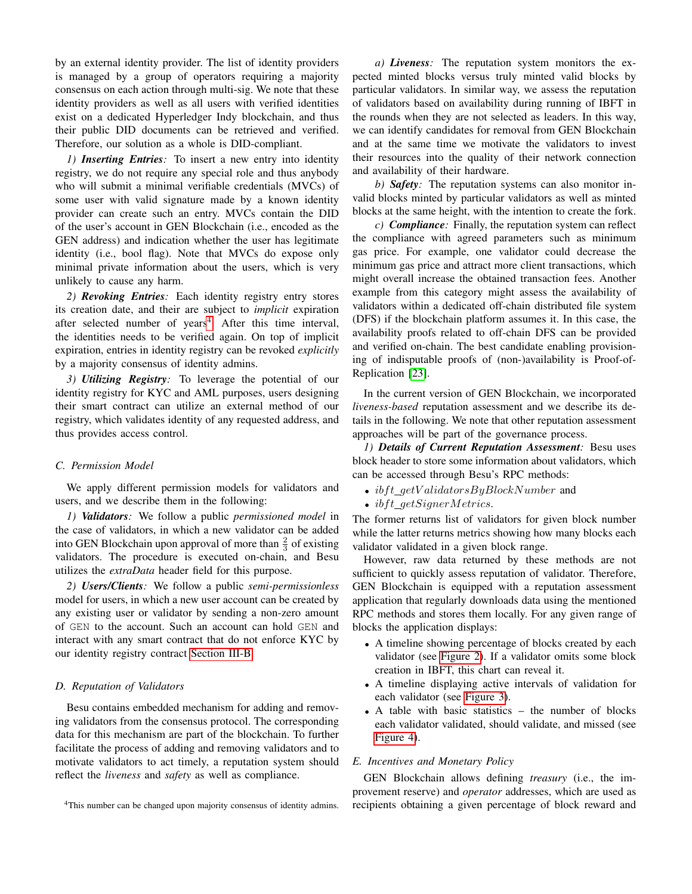by an external identity provider. The list of identity providers is managed by a group of operators requiring a majority consensus on each action through multi-sig. We note that these identity providers as well as all users with verified identities exist on a dedicated Hyperledger Indy blockchain, and thus their public DID documents can be retrieved and verified. Therefore, our solution as a whole is DID-compliant.

*1) Inserting Entries:* To insert a new entry into identity registry, we do not require any special role and thus anybody who will submit a minimal verifiable credentials (MVCs) of some user with valid signature made by a known identity provider can create such an entry. MVCs contain the DID of the user's account in GEN Blockchain (i.e., encoded as the GEN address) and indication whether the user has legitimate identity (i.e., bool flag). Note that MVCs do expose only minimal private information about the users, which is very unlikely to cause any harm.

*2) Revoking Entries:* Each identity registry entry stores its creation date, and their are subject to *implicit* expiration after selected number of years<sup>[4](#page-4-0)</sup>. After this time interval, the identities needs to be verified again. On top of implicit expiration, entries in identity registry can be revoked *explicitly* by a majority consensus of identity admins.

*3) Utilizing Registry:* To leverage the potential of our identity registry for KYC and AML purposes, users designing their smart contract can utilize an external method of our registry, which validates identity of any requested address, and thus provides access control.

## *C. Permission Model*

We apply different permission models for validators and users, and we describe them in the following:

*1) Validators:* We follow a public *permissioned model* in the case of validators, in which a new validator can be added into GEN Blockchain upon approval of more than  $\frac{2}{3}$  of existing validators. The procedure is executed on-chain, and Besu utilizes the *extraData* header field for this purpose.

*2) Users/Clients:* We follow a public *semi-permissionless* model for users, in which a new user account can be created by any existing user or validator by sending a non-zero amount of GEN to the account. Such an account can hold GEN and interact with any smart contract that do not enforce KYC by our identity registry contract [Section III-B.](#page-3-2)

## *D. Reputation of Validators*

Besu contains embedded mechanism for adding and removing validators from the consensus protocol. The corresponding data for this mechanism are part of the blockchain. To further facilitate the process of adding and removing validators and to motivate validators to act timely, a reputation system should reflect the *liveness* and *safety* as well as compliance.

<span id="page-4-0"></span><sup>4</sup>This number can be changed upon majority consensus of identity admins.

*a) Liveness:* The reputation system monitors the expected minted blocks versus truly minted valid blocks by particular validators. In similar way, we assess the reputation of validators based on availability during running of IBFT in the rounds when they are not selected as leaders. In this way, we can identify candidates for removal from GEN Blockchain and at the same time we motivate the validators to invest their resources into the quality of their network connection and availability of their hardware.

*b) Safety:* The reputation systems can also monitor invalid blocks minted by particular validators as well as minted blocks at the same height, with the intention to create the fork.

*c) Compliance:* Finally, the reputation system can reflect the compliance with agreed parameters such as minimum gas price. For example, one validator could decrease the minimum gas price and attract more client transactions, which might overall increase the obtained transaction fees. Another example from this category might assess the availability of validators within a dedicated off-chain distributed file system (DFS) if the blockchain platform assumes it. In this case, the availability proofs related to off-chain DFS can be provided and verified on-chain. The best candidate enabling provisioning of indisputable proofs of (non-)availability is Proof-of-Replication [\[23\]](#page-9-0).

In the current version of GEN Blockchain, we incorporated *liveness-based* reputation assessment and we describe its details in the following. We note that other reputation assessment approaches will be part of the governance process.

*1) Details of Current Reputation Assessment:* Besu uses block header to store some information about validators, which can be accessed through Besu's RPC methods:

- $if t_qetValidatorsByBlockNumber$  and
- $ibft\_getSignerMetrics$ .

The former returns list of validators for given block number while the latter returns metrics showing how many blocks each validator validated in a given block range.

However, raw data returned by these methods are not sufficient to quickly assess reputation of validator. Therefore, GEN Blockchain is equipped with a reputation assessment application that regularly downloads data using the mentioned RPC methods and stores them locally. For any given range of blocks the application displays:

- A timeline showing percentage of blocks created by each validator (see [Figure 2\)](#page-5-0). If a validator omits some block creation in IBFT, this chart can reveal it.
- A timeline displaying active intervals of validation for each validator (see [Figure 3\)](#page-5-1).
- A table with basic statistics the number of blocks each validator validated, should validate, and missed (see [Figure 4\)](#page-5-2).

## *E. Incentives and Monetary Policy*

GEN Blockchain allows defining *treasury* (i.e., the improvement reserve) and *operator* addresses, which are used as recipients obtaining a given percentage of block reward and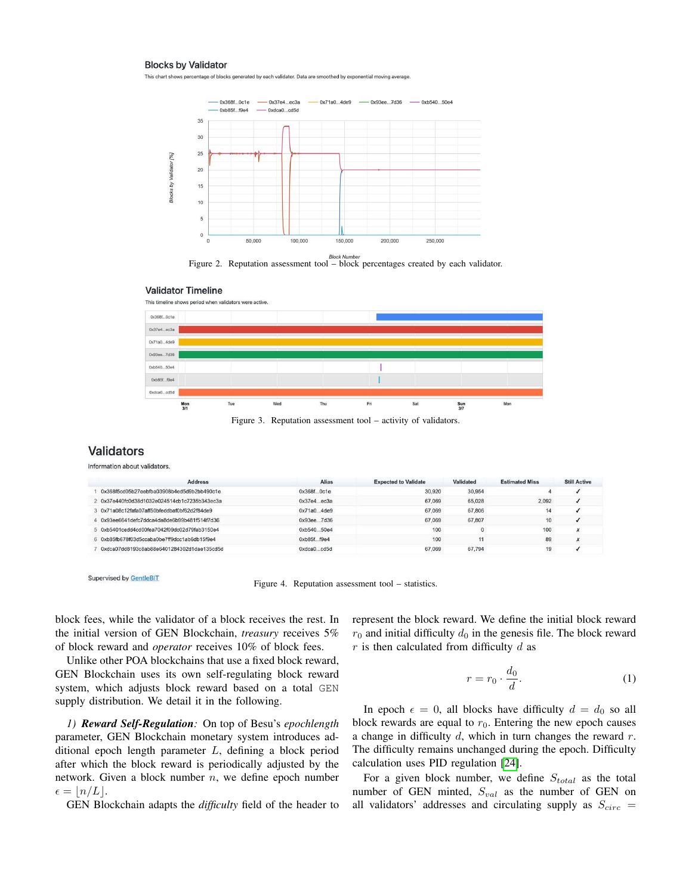#### **Blocks by Validator**

This chart shows percentage of blocks generated by each validator. Data are smoothed by exponential moving averag



<span id="page-5-0"></span>Figure 2. Reputation assessment tool – block percentages created by each validator.

#### **Validator Timeline**



<span id="page-5-1"></span>Figure 3. Reputation assessment tool – activity of validators.

# **Validators**

Information about validators.

| <b>Address</b>                               | <b>Alias</b>    | <b>Expected to Validate</b> | Validated | <b>Estimated Miss</b> | <b>Still Active</b> |  |
|----------------------------------------------|-----------------|-----------------------------|-----------|-----------------------|---------------------|--|
| 0x368f5cd05b27eebfba03908b4ed5d9b2bb490c1e   | $0x368f$ $0c1e$ | 30,920                      | 30,954    |                       |                     |  |
| 2 0x37e440fc0d38d1032e024514cb1c7235b343ec3a | $0x37e4$ $ec3a$ | 67,069                      | 65.028    | 2.092                 |                     |  |
| 3 0x71a08c12fafa07aff50bfeddbaf0bf62d2f84de9 | 0x71a04de9      | 67.069                      | 67,806    |                       |                     |  |
| 4 0x93ee6641defc7ddca4da8de6b99b481f514f7d36 | 0x93ee7d36      | 67,069                      | 67,807    | 10                    |                     |  |
| 5 0xb5401cedd4cd00fea7042f09dc02d79fab3150e4 | 0xb54050e4      | 100                         |           | 100                   | $\lambda$           |  |
| 6 0xb85fb678f03d5ccaba0be7ff9dcc1ab6db15f9e4 | 0xb85ff9e4      | 100                         | 11        | 89                    |                     |  |
| 0xdca07dd8193c8ab88e6401284302d1dae135cd5d   | 0xdca0cd5d      | 67,069                      | 67,794    | 19                    |                     |  |

Supervised by GentleBIT

<span id="page-5-2"></span>Figure 4. Reputation assessment tool – statistics.

block fees, while the validator of a block receives the rest. In the initial version of GEN Blockchain, *treasury* receives 5% of block reward and *operator* receives 10% of block fees.

Unlike other POA blockchains that use a fixed block reward, GEN Blockchain uses its own self-regulating block reward system, which adjusts block reward based on a total GEN supply distribution. We detail it in the following.

*1) Reward Self-Regulation:* On top of Besu's *epochlength* parameter, GEN Blockchain monetary system introduces additional epoch length parameter L, defining a block period after which the block reward is periodically adjusted by the network. Given a block number  $n$ , we define epoch number  $\epsilon = |n/L|.$ 

GEN Blockchain adapts the *difficulty* field of the header to

represent the block reward. We define the initial block reward  $r_0$  and initial difficulty  $d_0$  in the genesis file. The block reward  $r$  is then calculated from difficulty  $d$  as

$$
r = r_0 \cdot \frac{d_0}{d}.\tag{1}
$$

In epoch  $\epsilon = 0$ , all blocks have difficulty  $d = d_0$  so all block rewards are equal to  $r_0$ . Entering the new epoch causes a change in difficulty  $d$ , which in turn changes the reward  $r$ . The difficulty remains unchanged during the epoch. Difficulty calculation uses PID regulation [\[24\]](#page-9-1).

For a given block number, we define  $S_{total}$  as the total number of GEN minted,  $S_{val}$  as the number of GEN on all validators' addresses and circulating supply as  $S_{circ}$  =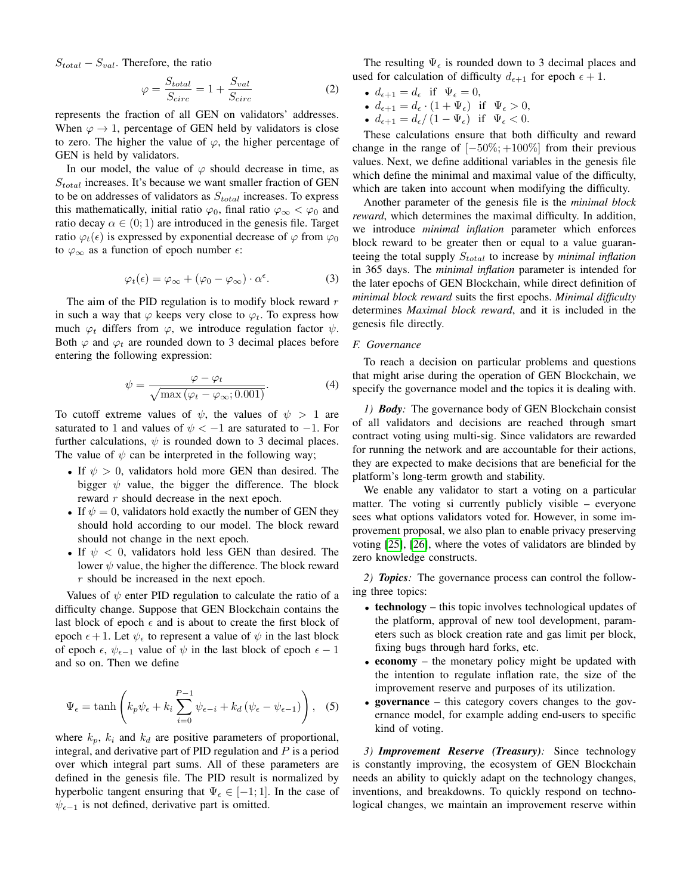$S_{total} - S_{val}$ . Therefore, the ratio

$$
\varphi = \frac{S_{total}}{S_{circ}} = 1 + \frac{S_{val}}{S_{circ}} \tag{2}
$$

represents the fraction of all GEN on validators' addresses. When  $\varphi \to 1$ , percentage of GEN held by validators is close to zero. The higher the value of  $\varphi$ , the higher percentage of GEN is held by validators.

In our model, the value of  $\varphi$  should decrease in time, as  $S_{total}$  increases. It's because we want smaller fraction of GEN to be on addresses of validators as  $S_{total}$  increases. To express this mathematically, initial ratio  $\varphi_0$ , final ratio  $\varphi_\infty < \varphi_0$  and ratio decay  $\alpha \in (0, 1)$  are introduced in the genesis file. Target ratio  $\varphi_t(\epsilon)$  is expressed by exponential decrease of  $\varphi$  from  $\varphi_0$ to  $\varphi_{\infty}$  as a function of epoch number  $\epsilon$ :

$$
\varphi_t(\epsilon) = \varphi_{\infty} + (\varphi_0 - \varphi_{\infty}) \cdot \alpha^{\epsilon}.
$$
 (3)

The aim of the PID regulation is to modify block reward  $r$ in such a way that  $\varphi$  keeps very close to  $\varphi_t$ . To express how much  $\varphi_t$  differs from  $\varphi$ , we introduce regulation factor  $\psi$ . Both  $\varphi$  and  $\varphi_t$  are rounded down to 3 decimal places before entering the following expression:

$$
\psi = \frac{\varphi - \varphi_t}{\sqrt{\max\left(\varphi_t - \varphi_\infty; 0.001\right)}}.\tag{4}
$$

To cutoff extreme values of  $\psi$ , the values of  $\psi > 1$  are saturated to 1 and values of  $\psi < -1$  are saturated to -1. For further calculations,  $\psi$  is rounded down to 3 decimal places. The value of  $\psi$  can be interpreted in the following way;

- If  $\psi > 0$ , validators hold more GEN than desired. The bigger  $\psi$  value, the bigger the difference. The block reward r should decrease in the next epoch.
- If  $\psi = 0$ , validators hold exactly the number of GEN they should hold according to our model. The block reward should not change in the next epoch.
- If  $\psi$  < 0, validators hold less GEN than desired. The lower  $\psi$  value, the higher the difference. The block reward r should be increased in the next epoch.

Values of  $\psi$  enter PID regulation to calculate the ratio of a difficulty change. Suppose that GEN Blockchain contains the last block of epoch  $\epsilon$  and is about to create the first block of epoch  $\epsilon + 1$ . Let  $\psi_{\epsilon}$  to represent a value of  $\psi$  in the last block of epoch  $\epsilon$ ,  $\psi_{\epsilon-1}$  value of  $\psi$  in the last block of epoch  $\epsilon - 1$ and so on. Then we define

$$
\Psi_{\epsilon} = \tanh\left(k_p \psi_{\epsilon} + k_i \sum_{i=0}^{P-1} \psi_{\epsilon-i} + k_d \left(\psi_{\epsilon} - \psi_{\epsilon-1}\right)\right), \quad (5)
$$

where  $k_p$ ,  $k_i$  and  $k_d$  are positive parameters of proportional, integral, and derivative part of PID regulation and  $P$  is a period over which integral part sums. All of these parameters are defined in the genesis file. The PID result is normalized by hyperbolic tangent ensuring that  $\Psi_{\epsilon} \in [-1, 1]$ . In the case of  $\psi_{\epsilon-1}$  is not defined, derivative part is omitted.

The resulting  $\Psi_{\epsilon}$  is rounded down to 3 decimal places and used for calculation of difficulty  $d_{\epsilon+1}$  for epoch  $\epsilon + 1$ .

- $d_{\epsilon+1} = d_{\epsilon}$  if  $\Psi_{\epsilon} = 0$ ,
- $d_{\epsilon+1} = d_{\epsilon} \cdot (1 + \Psi_{\epsilon})$  if  $\Psi_{\epsilon} > 0$ ,
- $d_{\epsilon+1} = d_{\epsilon}/(1 \Psi_{\epsilon})$  if  $\Psi_{\epsilon} < 0$ .

These calculations ensure that both difficulty and reward change in the range of  $[-50\%; +100\%]$  from their previous values. Next, we define additional variables in the genesis file which define the minimal and maximal value of the difficulty, which are taken into account when modifying the difficulty.

Another parameter of the genesis file is the *minimal block reward*, which determines the maximal difficulty. In addition, we introduce *minimal inflation* parameter which enforces block reward to be greater then or equal to a value guaranteeing the total supply  $S_{total}$  to increase by *minimal inflation* in 365 days. The *minimal inflation* parameter is intended for the later epochs of GEN Blockchain, while direct definition of *minimal block reward* suits the first epochs. *Minimal difficulty* determines *Maximal block reward*, and it is included in the genesis file directly.

## *F. Governance*

To reach a decision on particular problems and questions that might arise during the operation of GEN Blockchain, we specify the governance model and the topics it is dealing with.

*1) Body:* The governance body of GEN Blockchain consist of all validators and decisions are reached through smart contract voting using multi-sig. Since validators are rewarded for running the network and are accountable for their actions, they are expected to make decisions that are beneficial for the platform's long-term growth and stability.

We enable any validator to start a voting on a particular matter. The voting si currently publicly visible – everyone sees what options validators voted for. However, in some improvement proposal, we also plan to enable privacy preserving voting [\[25\]](#page-9-2), [\[26\]](#page-9-3), where the votes of validators are blinded by zero knowledge constructs.

*2) Topics:* The governance process can control the following three topics:

- technology this topic involves technological updates of the platform, approval of new tool development, parameters such as block creation rate and gas limit per block, fixing bugs through hard forks, etc.
- **economy** the monetary policy might be updated with the intention to regulate inflation rate, the size of the improvement reserve and purposes of its utilization.
- governance this category covers changes to the governance model, for example adding end-users to specific kind of voting.

*3) Improvement Reserve (Treasury):* Since technology is constantly improving, the ecosystem of GEN Blockchain needs an ability to quickly adapt on the technology changes, inventions, and breakdowns. To quickly respond on technological changes, we maintain an improvement reserve within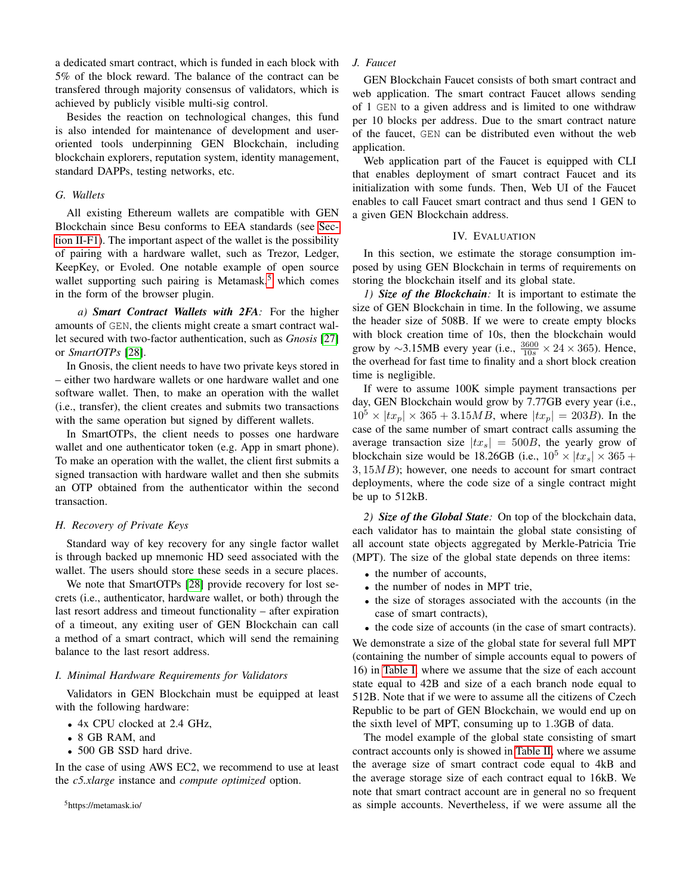a dedicated smart contract, which is funded in each block with 5% of the block reward. The balance of the contract can be transfered through majority consensus of validators, which is achieved by publicly visible multi-sig control.

Besides the reaction on technological changes, this fund is also intended for maintenance of development and useroriented tools underpinning GEN Blockchain, including blockchain explorers, reputation system, identity management, standard DAPPs, testing networks, etc.

## *G. Wallets*

All existing Ethereum wallets are compatible with GEN Blockchain since Besu conforms to EEA standards (see [Sec](#page-2-3)[tion II-F1\)](#page-2-3). The important aspect of the wallet is the possibility of pairing with a hardware wallet, such as Trezor, Ledger, KeepKey, or Evoled. One notable example of open source wallet supporting such pairing is Metamask, $<sup>5</sup>$  $<sup>5</sup>$  $<sup>5</sup>$  which comes</sup> in the form of the browser plugin.

*a) Smart Contract Wallets with 2FA:* For the higher amounts of GEN, the clients might create a smart contract wallet secured with two-factor authentication, such as *Gnosis* [\[27\]](#page-9-4) or *SmartOTPs* [\[28\]](#page-9-5).

In Gnosis, the client needs to have two private keys stored in – either two hardware wallets or one hardware wallet and one software wallet. Then, to make an operation with the wallet (i.e., transfer), the client creates and submits two transactions with the same operation but signed by different wallets.

In SmartOTPs, the client needs to posses one hardware wallet and one authenticator token (e.g. App in smart phone). To make an operation with the wallet, the client first submits a signed transaction with hardware wallet and then she submits an OTP obtained from the authenticator within the second transaction.

## *H. Recovery of Private Keys*

Standard way of key recovery for any single factor wallet is through backed up mnemonic HD seed associated with the wallet. The users should store these seeds in a secure places.

We note that SmartOTPs [\[28\]](#page-9-5) provide recovery for lost secrets (i.e., authenticator, hardware wallet, or both) through the last resort address and timeout functionality – after expiration of a timeout, any exiting user of GEN Blockchain can call a method of a smart contract, which will send the remaining balance to the last resort address.

## *I. Minimal Hardware Requirements for Validators*

Validators in GEN Blockchain must be equipped at least with the following hardware:

- 4x CPU clocked at 2.4 GHz,
- 8 GB RAM, and
- 500 GB SSD hard drive.

In the case of using AWS EC2, we recommend to use at least the *c5.xlarge* instance and *compute optimized* option.

## <span id="page-7-0"></span><sup>5</sup>https://metamask.io/

## *J. Faucet*

GEN Blockchain Faucet consists of both smart contract and web application. The smart contract Faucet allows sending of 1 GEN to a given address and is limited to one withdraw per 10 blocks per address. Due to the smart contract nature of the faucet, GEN can be distributed even without the web application.

Web application part of the Faucet is equipped with CLI that enables deployment of smart contract Faucet and its initialization with some funds. Then, Web UI of the Faucet enables to call Faucet smart contract and thus send 1 GEN to a given GEN Blockchain address.

## IV. EVALUATION

In this section, we estimate the storage consumption imposed by using GEN Blockchain in terms of requirements on storing the blockchain itself and its global state.

*1) Size of the Blockchain:* It is important to estimate the size of GEN Blockchain in time. In the following, we assume the header size of 508B. If we were to create empty blocks with block creation time of 10s, then the blockchain would grow by ~3.15MB every year (i.e.,  $\frac{3600}{10s} \times 24 \times 365$ ). Hence, the overhead for fast time to finality and a short block creation time is negligible.

If were to assume 100K simple payment transactions per day, GEN Blockchain would grow by 7.77GB every year (i.e.,  $10^5 \times |tx_p| \times 365 + 3.15MB$ , where  $|tx_p| = 203B$ ). In the case of the same number of smart contract calls assuming the average transaction size  $|tx_s| = 500B$ , the yearly grow of blockchain size would be 18.26GB (i.e.,  $10^5 \times |tx_s| \times 365 +$  $3, 15MB$ ; however, one needs to account for smart contract deployments, where the code size of a single contract might be up to 512kB.

*2) Size of the Global State:* On top of the blockchain data, each validator has to maintain the global state consisting of all account state objects aggregated by Merkle-Patricia Trie (MPT). The size of the global state depends on three items:

- the number of accounts,
- the number of nodes in MPT trie,
- the size of storages associated with the accounts (in the case of smart contracts),
- the code size of accounts (in the case of smart contracts).

We demonstrate a size of the global state for several full MPT (containing the number of simple accounts equal to powers of 16) in [Table I,](#page-8-21) where we assume that the size of each account state equal to 42B and size of a each branch node equal to 512B. Note that if we were to assume all the citizens of Czech Republic to be part of GEN Blockchain, we would end up on the sixth level of MPT, consuming up to 1.3GB of data.

The model example of the global state consisting of smart contract accounts only is showed in [Table II,](#page-8-22) where we assume the average size of smart contract code equal to 4kB and the average storage size of each contract equal to 16kB. We note that smart contract account are in general no so frequent as simple accounts. Nevertheless, if we were assume all the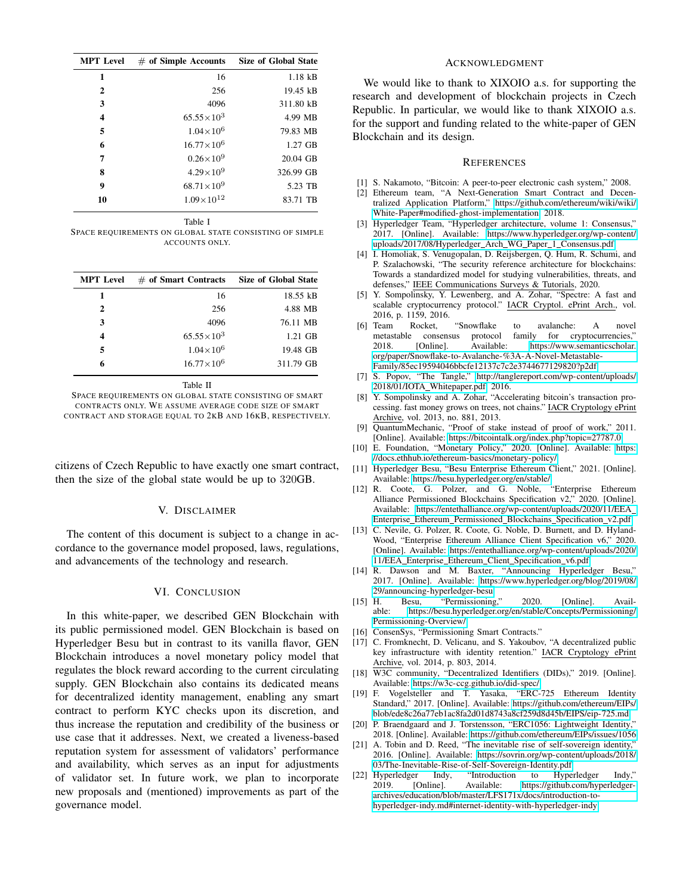| <b>MPT</b> Level        | $#$ of Simple Accounts | Size of Global State |
|-------------------------|------------------------|----------------------|
| 1                       | 16                     | $1.18$ $kB$          |
| $\mathbf{2}$            | 256                    | $19.45$ kB           |
| 3                       | 4096                   | 311.80 kB            |
| $\overline{\mathbf{4}}$ | $65.55 \times 10^3$    | 4.99 MB              |
| 5                       | $1.04\times10^{6}$     | 79.83 MB             |
| 6                       | $16.77\times10^{6}$    | $1.27$ GB            |
| 7                       | $0.26\times10^{9}$     | $20.04$ GB           |
| 8                       | $4.29 \times 10^{9}$   | 326.99 GB            |
| 9                       | $68.71\times10^{9}$    | 5.23 TB              |
| 10                      | $1.09\times10^{12}$    | 83.71 TB             |

Table I

<span id="page-8-21"></span>SPACE REQUIREMENTS ON GLOBAL STATE CONSISTING OF SIMPLE ACCOUNTS ONLY.

| <b>MPT</b> Level | $#$ of Smart Contracts | <b>Size of Global State</b> |
|------------------|------------------------|-----------------------------|
| 1                | 16                     | 18.55 kB                    |
| $\mathbf{2}$     | 256                    | 4.88 MB                     |
| 3                | 4096                   | 76.11 MB                    |
| 4                | $65.55\times10^{3}$    | $1.21$ GB                   |
| 5                | $1.04\times10^{6}$     | 19.48 GB                    |
| 6                | $16.77\times10^{6}$    | 311.79 GB                   |

Table II

<span id="page-8-22"></span>SPACE REQUIREMENTS ON GLOBAL STATE CONSISTING OF SMART CONTRACTS ONLY. WE ASSUME AVERAGE CODE SIZE OF SMART CONTRACT AND STORAGE EQUAL TO 2KB AND 16KB, RESPECTIVELY.

citizens of Czech Republic to have exactly one smart contract, then the size of the global state would be up to 320GB.

## V. DISCLAIMER

The content of this document is subject to a change in accordance to the governance model proposed, laws, regulations, and advancements of the technology and research.

## VI. CONCLUSION

In this white-paper, we described GEN Blockchain with its public permissioned model. GEN Blockchain is based on Hyperledger Besu but in contrast to its vanilla flavor, GEN Blockchain introduces a novel monetary policy model that regulates the block reward according to the current circulating supply. GEN Blockchain also contains its dedicated means for decentralized identity management, enabling any smart contract to perform KYC checks upon its discretion, and thus increase the reputation and credibility of the business or use case that it addresses. Next, we created a liveness-based reputation system for assessment of validators' performance and availability, which serves as an input for adjustments of validator set. In future work, we plan to incorporate new proposals and (mentioned) improvements as part of the governance model.

# ACKNOWLEDGMENT

We would like to thank to XIXOIO a.s. for supporting the research and development of blockchain projects in Czech Republic. In particular, we would like to thank XIXOIO a.s. for the support and funding related to the white-paper of GEN Blockchain and its design.

## **REFERENCES**

- <span id="page-8-0"></span>[1] S. Nakamoto, "Bitcoin: A peer-to-peer electronic cash system," 2008.
- <span id="page-8-1"></span>[2] Ethereum team, "A Next-Generation Smart Contract and Decentralized Application Platform," [https://github.com/ethereum/wiki/wiki/](https://github.com/ethereum/wiki/wiki/White-Paper#modified-ghost-implementation) [White-Paper#modified-ghost-implementation,](https://github.com/ethereum/wiki/wiki/White-Paper#modified-ghost-implementation) 2018.
- <span id="page-8-2"></span>[3] Hyperledger Team, "Hyperledger architecture, volume 1: Consensus," 2017. [Online]. Available: [https://www.hyperledger.org/wp-content/](https://www.hyperledger.org/wp-content/uploads/2017/08/Hyperledger_Arch_WG_Paper_1_Consensus.pdf) [uploads/2017/08/Hyperledger](https://www.hyperledger.org/wp-content/uploads/2017/08/Hyperledger_Arch_WG_Paper_1_Consensus.pdf) Arch WG Paper 1 Consensus.pdf
- <span id="page-8-3"></span>[4] I. Homoliak, S. Venugopalan, D. Reijsbergen, Q. Hum, R. Schumi, and P. Szalachowski, "The security reference architecture for blockchains: Towards a standardized model for studying vulnerabilities, threats, and defenses," IEEE Communications Surveys & Tutorials, 2020.
- <span id="page-8-4"></span>[5] Y. Sompolinsky, Y. Lewenberg, and A. Zohar, "Spectre: A fast and scalable cryptocurrency protocol." IACR Cryptol. ePrint Arch., vol. 2016, p. 1159, 2016.
- [6] Team Rocket, "Snowflake to avalanche: A novel metastable consensus protocol family for cryptocurrencies,"<br>2018. [Online]. Available: https://www.semanticscholar. https://www.semanticscholar. [org/paper/Snowflake-to-Avalanche-%3A-A-Novel-Metastable-](https://www.semanticscholar.org/paper/Snowflake-to-Avalanche-%3A-A-Novel-Metastable-Family/85ec19594046bbcfe12137c7c2e3744677129820?p2df)[Family/85ec19594046bbcfe12137c7c2e3744677129820?p2df](https://www.semanticscholar.org/paper/Snowflake-to-Avalanche-%3A-A-Novel-Metastable-Family/85ec19594046bbcfe12137c7c2e3744677129820?p2df)
- <span id="page-8-5"></span>[7] S. Popov, "The Tangle," [http://tanglereport.com/wp-content/uploads/](http://tanglereport.com/wp-content/uploads/2018/01/IOTA_Whitepaper.pdf) 2018/01/IOTA [Whitepaper.pdf,](http://tanglereport.com/wp-content/uploads/2018/01/IOTA_Whitepaper.pdf) 2016.
- <span id="page-8-6"></span>[8] Y. Sompolinsky and A. Zohar, "Accelerating bitcoin's transaction processing. fast money grows on trees, not chains." IACR Cryptology ePrint Archive, vol. 2013, no. 881, 2013.
- <span id="page-8-7"></span>[9] QuantumMechanic, "Proof of stake instead of proof of work," 2011. [Online]. Available:<https://bitcointalk.org/index.php?topic=27787.0>
- <span id="page-8-8"></span>[10] E. Foundation, "Monetary Policy," 2020. [Online]. Available: [https:](https://docs.ethhub.io/ethereum-basics/monetary-policy/) [//docs.ethhub.io/ethereum-basics/monetary-policy/](https://docs.ethhub.io/ethereum-basics/monetary-policy/)
- <span id="page-8-9"></span>[11] Hyperledger Besu, "Besu Enterprise Ethereum Client," 2021. [Online]. Available:<https://besu.hyperledger.org/en/stable/>
- <span id="page-8-10"></span>[12] R. Coote, G. Polzer, and G. Noble, "Enterprise Ethereum Alliance Permissioned Blockchains Specification v2," 2020. [Online]. Available: [https://entethalliance.org/wp-content/uploads/2020/11/EEA](https://entethalliance.org/wp-content/uploads/2020/11/EEA_Enterprise_Ethereum_Permissioned_Blockchains_Specification_v2.pdf) Enterprise\_Ethereum\_[Permissioned](https://entethalliance.org/wp-content/uploads/2020/11/EEA_Enterprise_Ethereum_Permissioned_Blockchains_Specification_v2.pdf)\_Blockchains\_Specification\_v2.pdf
- <span id="page-8-11"></span>[13] C. Nevile, G. Polzer, R. Coote, G. Noble, D. Burnett, and D. Hyland-Wood, "Enterprise Ethereum Alliance Client Specification v6," 2020. [Online]. Available: [https://entethalliance.org/wp-content/uploads/2020/](https://entethalliance.org/wp-content/uploads/2020/11/EEA_Enterprise_Ethereum_Client_Specification_v6.pdf) 11/EEA Enterprise Ethereum Client [Specification](https://entethalliance.org/wp-content/uploads/2020/11/EEA_Enterprise_Ethereum_Client_Specification_v6.pdf) v6.pdf
- <span id="page-8-12"></span>[14] R. Dawson and M. Baxter, "Announcing Hyperledger Besu," 2017. [Online]. Available: [https://www.hyperledger.org/blog/2019/08/](https://www.hyperledger.org/blog/2019/08/29/announcing-hyperledger-besu) [29/announcing-hyperledger-besu](https://www.hyperledger.org/blog/2019/08/29/announcing-hyperledger-besu)<br>[15] H. Besu, "Permissioning
- <span id="page-8-13"></span>Besu, "Permissioning," 2020. [Online]. Available: [https://besu.hyperledger.org/en/stable/Concepts/Permissioning/](https://besu.hyperledger.org/en/stable/Concepts/Permissioning/Permissioning-Overview/) [Permissioning-Overview/](https://besu.hyperledger.org/en/stable/Concepts/Permissioning/Permissioning-Overview/)
- <span id="page-8-14"></span>[16] ConsenSys, "Permissioning Smart Contracts."
- <span id="page-8-15"></span>[17] C. Fromknecht, D. Velicanu, and S. Yakoubov, "A decentralized public key infrastructure with identity retention." IACR Cryptology ePrint Archive, vol. 2014, p. 803, 2014.
- <span id="page-8-16"></span>[18] W3C community, "Decentralized Identifiers (DIDs)," 2019. [Online]. Available:<https://w3c-ccg.github.io/did-spec/>
- <span id="page-8-17"></span>[19] F. Vogelsteller and T. Yasaka, "ERC-725 Ethereum Identity Standard," 2017. [Online]. Available: [https://github.com/ethereum/EIPs/](https://github.com/ethereum/EIPs/blob/ede8c26a77eb1ac8fa2d01d8743a8cf259d8d45b/EIPS/eip-725.md) [blob/ede8c26a77eb1ac8fa2d01d8743a8cf259d8d45b/EIPS/eip-725.md](https://github.com/ethereum/EIPs/blob/ede8c26a77eb1ac8fa2d01d8743a8cf259d8d45b/EIPS/eip-725.md)
- <span id="page-8-18"></span>[20] P. Braendgaard and J. Torstensson, "ERC1056: Lightweight Identity," 2018. [Online]. Available:<https://github.com/ethereum/EIPs/issues/1056>
- <span id="page-8-19"></span>[21] A. Tobin and D. Reed, "The inevitable rise of self-sovereign identity," 2016. [Online]. Available: [https://sovrin.org/wp-content/uploads/2018/](https://sovrin.org/wp-content/uploads/2018/03/The-Inevitable-Rise-of-Self-Sovereign-Identity.pdf) [03/The-Inevitable-Rise-of-Self-Sovereign-Identity.pdf](https://sovrin.org/wp-content/uploads/2018/03/The-Inevitable-Rise-of-Self-Sovereign-Identity.pdf)<br>Hyperledger Indy. "Introduction to Hype
- <span id="page-8-20"></span>[22] Hyperledger Indy, "Introduction to Hyperledger Indy," 2019. [Online]. Available: [https://github.com/hyperledger](https://github.com/hyperledger-archives/education/blob/master/LFS171x/docs/introduction-to-hyperledger-indy.md#internet-identity-with-hyperledger-indy)[archives/education/blob/master/LFS171x/docs/introduction-to](https://github.com/hyperledger-archives/education/blob/master/LFS171x/docs/introduction-to-hyperledger-indy.md#internet-identity-with-hyperledger-indy)[hyperledger-indy.md#internet-identity-with-hyperledger-indy](https://github.com/hyperledger-archives/education/blob/master/LFS171x/docs/introduction-to-hyperledger-indy.md#internet-identity-with-hyperledger-indy)